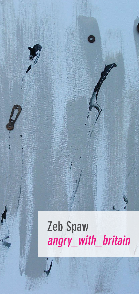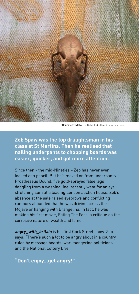

"Crucified" (detail) – Rabbit skull and oil on canvas

**Zeb Spaw was the top draughtsman in his class at St Martins. Then he realised that nailing underpants to chopping boards was easier, quicker, and got more attention.** 

Since then - the mid-Nineties – Zeb has never even looked at a pencil. But he's moved on from underpants. Prostheseus Bound, five gold-sprayed false legs dangling from a washing line, recently went for an eyestretching sum at a leading London auction house. Zeb's absence at the sale raised eyebrows and conflicting rumours abounded that he was driving across the Mojave or hanging with Brangelina. In fact, he was making his first movie, Eating The Face, a critique on the corrosive nature of wealth and fame.

**angry** with **britain** is his first Cork Street show. Zeb says: "There's such a lot to be angry about in a country ruled by message boards, war-mongering politicians and the National Lottery Live."

**"Don't enjoy...get angry!"**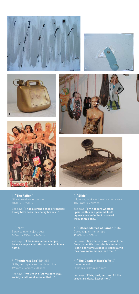











1. **"The Fallen"** 1020mm x 770mm

Zeb says: "I had a strong sense of collapse. It may have been the cherry brandy..."

## 3. "**Iraq"**

Zeb says: "Like many famous people, I was so angry about the war waged in my name..."

5. **"Pandora's Box"** (detail)

Zeb says: "We live in a 'let me have it all society' and I want some of that..."

## 2. **"Slide"**

1020mm x 770mm

Zeb says: "I'm not sure whether I painted this or it painted itself. I guess you can 'unlock' my work through this one..."

4. **"Fifteen Metres of Fame"** (detail) 15,000mm x 300mm

Zeb says: "My tribute to Warhol and the fame game. We have a lot in common. I can't bear famous people, especially if they have more money than me..."

6. **"The Death of Rock'n'Roll"**

Zeb says: **"Elvis, Kurt, Ian, Joe. All the** greats are dead. Except me..."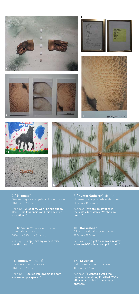

7. **"Stigmata"** 1020mm x 770mm

11 12 12 12 12 12 12 12 12

Zeb says: "A lot of my work brings out my Christ-like tendencies and this one is no exception..."

8. **"Hunter Gatherer"** (details)

Zeb says: **"We are all savages in** the aisles deep down. We shop, we hunt..."

9. **"Tripe-tych"** (work and detail)

Zeb says: "People say my work is tripe and this one is..."

10. **"Horseshoe"**

Zeb says: **"This got a one word review** - 'Horsesh\*t' - they can't print that..."

11. **"Infinitum"** (detail)

Zeb says: "I looked into myself and saw endless empty space..."

12. **"Crucified"** Rabbit skull and oil on canvas

Zeb says: "**I wanted a work that** included something I'd killed. We're all being crucified in one way or another..."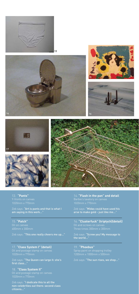

15





14





13. **"Pants"**  1020mm x 770mm

Zeb says: "Art is pants and that is what I am saying in this work..."

15. **"Patch"**

Zeb says: "This one really cheers me up..."

17. **"Class System I" (detail)** 1020mm x 770mm

Zeb says: "The Queen can large it: she's first class..."

18. **"Class System II"**

Zeb says: "I dedicate this to all the non-celebrities out there: second class citizens...

14. **"Flash in the pan" and detail** 1020mm x 770mm

Zeb says: "Midas could have used his arse to make gold - just like me..."

16. **"Clusterfuck" (triptych)(detail)**

Zeb says: **"Screw you! My message to** the world..."

19. **"Phoebus"**

Zeb says: "The sun rises, we shop..."